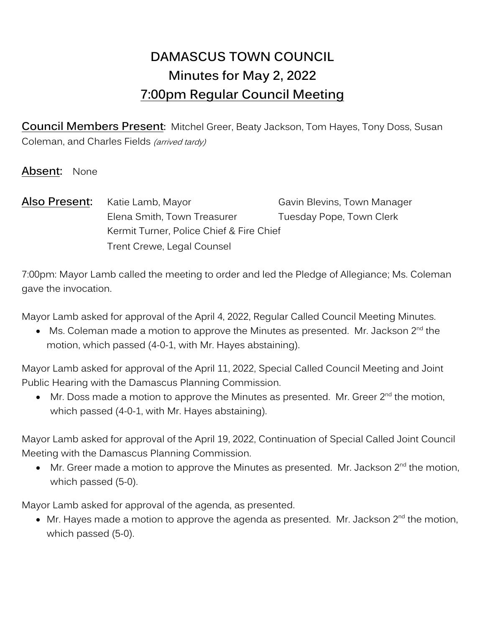# **DAMASCUS TOWN COUNCIL Minutes for May 2, 2022 7:00pm Regular Council Meeting**

**Council Members Present:** Mitchel Greer, Beaty Jackson, Tom Hayes, Tony Doss, Susan Coleman, and Charles Fields (arrived tardy)

**Absent:** None

**Also Present:** Katie Lamb, Mayor Gavin Blevins, Town Manager Elena Smith, Town Treasurer Tuesday Pope, Town Clerk Kermit Turner, Police Chief & Fire Chief Trent Crewe, Legal Counsel

7:00pm: Mayor Lamb called the meeting to order and led the Pledge of Allegiance; Ms. Coleman gave the invocation.

Mayor Lamb asked for approval of the April 4, 2022, Regular Called Council Meeting Minutes.

 $\bullet$  Ms. Coleman made a motion to approve the Minutes as presented. Mr. Jackson 2 $^{\text{nd}}$  the motion, which passed (4-0-1, with Mr. Hayes abstaining).

Mayor Lamb asked for approval of the April 11, 2022, Special Called Council Meeting and Joint Public Hearing with the Damascus Planning Commission.

 $\bullet$  Mr. Doss made a motion to approve the Minutes as presented. Mr. Greer 2<sup>nd</sup> the motion, which passed (4-0-1, with Mr. Hayes abstaining).

Mayor Lamb asked for approval of the April 19, 2022, Continuation of Special Called Joint Council Meeting with the Damascus Planning Commission.

 $\bullet$  Mr. Greer made a motion to approve the Minutes as presented. Mr. Jackson 2<sup>nd</sup> the motion, which passed (5-0).

Mayor Lamb asked for approval of the agenda, as presented.

 $\bullet\;$  Mr. Hayes made a motion to approve the agenda as presented. Mr. Jackson 2 $^{\text{nd}}$  the motion, which passed (5-0).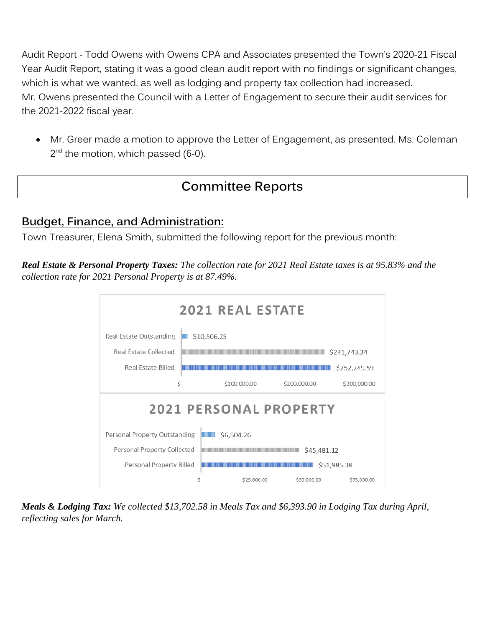Audit Report - Todd Owens with Owens CPA and Associates presented the Town's 2020-21 Fiscal Year Audit Report, stating it was a good clean audit report with no findings or significant changes, which is what we wanted, as well as lodging and property tax collection had increased. Mr. Owens presented the Council with a Letter of Engagement to secure their audit services for the 2021-2022 fiscal year.

• Mr. Greer made a motion to approve the Letter of Engagement, as presented. Ms. Coleman 2<sup>nd</sup> the motion, which passed (6-0).

# **Committee Reports**

## **Budget, Finance, and Administration:**

Town Treasurer, Elena Smith, submitted the following report for the previous month:

*Real Estate & Personal Property Taxes: The collection rate for 2021 Real Estate taxes is at 95.83% and the collection rate for 2021 Personal Property is at 87.49%.*



*Meals & Lodging Tax: We collected \$13,702.58 in Meals Tax and \$6,393.90 in Lodging Tax during April, reflecting sales for March.*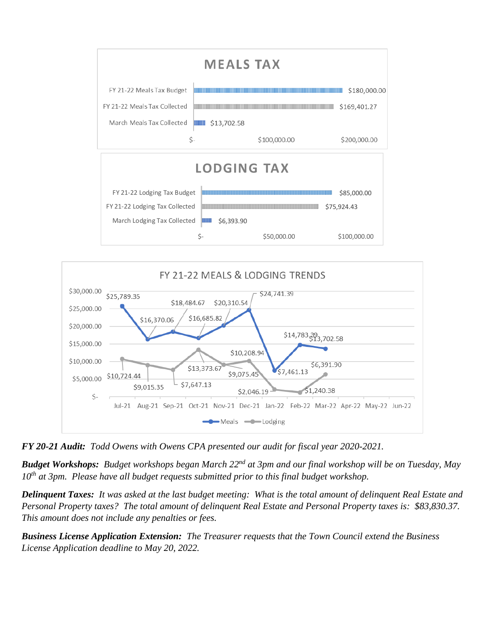



*FY 20-21 Audit: Todd Owens with Owens CPA presented our audit for fiscal year 2020-2021.*

*Budget Workshops: Budget workshops began March 22nd at 3pm and our final workshop will be on Tuesday, May 10th at 3pm. Please have all budget requests submitted prior to this final budget workshop.*

*Delinquent Taxes: It was asked at the last budget meeting: What is the total amount of delinquent Real Estate and Personal Property taxes? The total amount of delinquent Real Estate and Personal Property taxes is: \$83,830.37. This amount does not include any penalties or fees.*

*Business License Application Extension: The Treasurer requests that the Town Council extend the Business License Application deadline to May 20, 2022.*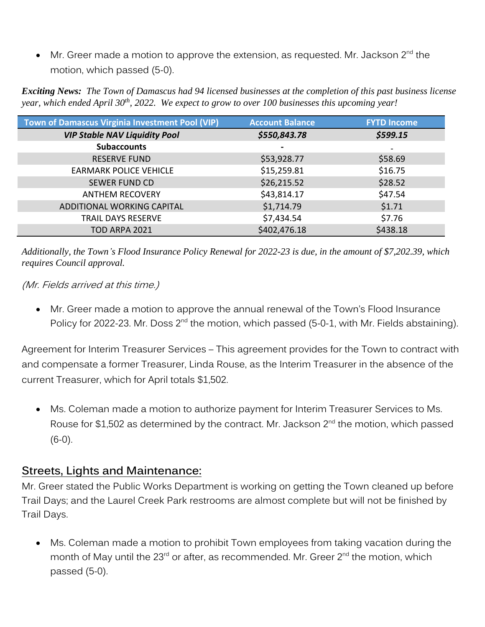• Mr. Greer made a motion to approve the extension, as requested. Mr. Jackson 2<sup>nd</sup> the motion, which passed (5-0).

*Exciting News: The Town of Damascus had 94 licensed businesses at the completion of this past business license year, which ended April 30th, 2022. We expect to grow to over 100 businesses this upcoming year!*

| Town of Damascus Virginia Investment Pool (VIP) | <b>Account Balance</b> | <b>FYTD Income</b> |
|-------------------------------------------------|------------------------|--------------------|
| <b>VIP Stable NAV Liquidity Pool</b>            | \$550,843.78           | \$599.15           |
| <b>Subaccounts</b>                              |                        |                    |
| <b>RESERVE FUND</b>                             | \$53,928.77            | \$58.69            |
| <b>EARMARK POLICE VEHICLE</b>                   | \$15,259.81            | \$16.75            |
| <b>SEWER FUND CD</b>                            | \$26,215.52            | \$28.52            |
| <b>ANTHEM RECOVERY</b>                          | \$43,814.17            | \$47.54            |
| ADDITIONAL WORKING CAPITAL                      | \$1,714.79             | \$1.71             |
| <b>TRAIL DAYS RESERVE</b>                       | \$7,434.54             | \$7.76             |
| <b>TOD ARPA 2021</b>                            | \$402,476.18           | \$438.18           |

*Additionally, the Town's Flood Insurance Policy Renewal for 2022-23 is due, in the amount of \$7,202.39, which requires Council approval.*

(Mr. Fields arrived at this time.)

• Mr. Greer made a motion to approve the annual renewal of the Town's Flood Insurance Policy for 2022-23. Mr. Doss 2<sup>nd</sup> the motion, which passed (5-0-1, with Mr. Fields abstaining).

Agreement for Interim Treasurer Services – This agreement provides for the Town to contract with and compensate a former Treasurer, Linda Rouse, as the Interim Treasurer in the absence of the current Treasurer, which for April totals \$1,502.

• Ms. Coleman made a motion to authorize payment for Interim Treasurer Services to Ms. Rouse for \$1,502 as determined by the contract. Mr. Jackson  $2^{nd}$  the motion, which passed (6-0).

### **Streets, Lights and Maintenance:**

Mr. Greer stated the Public Works Department is working on getting the Town cleaned up before Trail Days; and the Laurel Creek Park restrooms are almost complete but will not be finished by Trail Days.

• Ms. Coleman made a motion to prohibit Town employees from taking vacation during the month of May until the 23<sup>rd</sup> or after, as recommended. Mr. Greer 2<sup>nd</sup> the motion, which passed (5-0).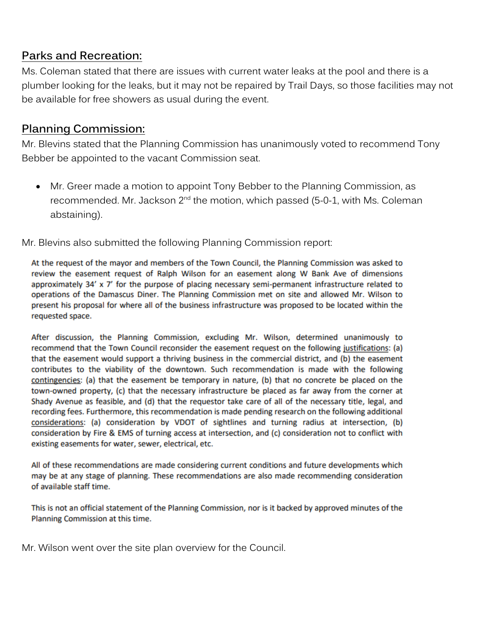## **Parks and Recreation:**

Ms. Coleman stated that there are issues with current water leaks at the pool and there is a plumber looking for the leaks, but it may not be repaired by Trail Days, so those facilities may not be available for free showers as usual during the event.

## **Planning Commission:**

Mr. Blevins stated that the Planning Commission has unanimously voted to recommend Tony Bebber be appointed to the vacant Commission seat.

• Mr. Greer made a motion to appoint Tony Bebber to the Planning Commission, as recommended. Mr. Jackson  $2^{nd}$  the motion, which passed (5-0-1, with Ms. Coleman abstaining).

Mr. Blevins also submitted the following Planning Commission report:

At the request of the mayor and members of the Town Council, the Planning Commission was asked to review the easement request of Ralph Wilson for an easement along W Bank Ave of dimensions approximately 34' x 7' for the purpose of placing necessary semi-permanent infrastructure related to operations of the Damascus Diner. The Planning Commission met on site and allowed Mr. Wilson to present his proposal for where all of the business infrastructure was proposed to be located within the requested space.

After discussion, the Planning Commission, excluding Mr. Wilson, determined unanimously to recommend that the Town Council reconsider the easement request on the following justifications: (a) that the easement would support a thriving business in the commercial district, and (b) the easement contributes to the viability of the downtown. Such recommendation is made with the following contingencies: (a) that the easement be temporary in nature, (b) that no concrete be placed on the town-owned property, (c) that the necessary infrastructure be placed as far away from the corner at Shady Avenue as feasible, and (d) that the requestor take care of all of the necessary title, legal, and recording fees. Furthermore, this recommendation is made pending research on the following additional considerations: (a) consideration by VDOT of sightlines and turning radius at intersection, (b) consideration by Fire & EMS of turning access at intersection, and (c) consideration not to conflict with existing easements for water, sewer, electrical, etc.

All of these recommendations are made considering current conditions and future developments which may be at any stage of planning. These recommendations are also made recommending consideration of available staff time.

This is not an official statement of the Planning Commission, nor is it backed by approved minutes of the Planning Commission at this time.

Mr. Wilson went over the site plan overview for the Council.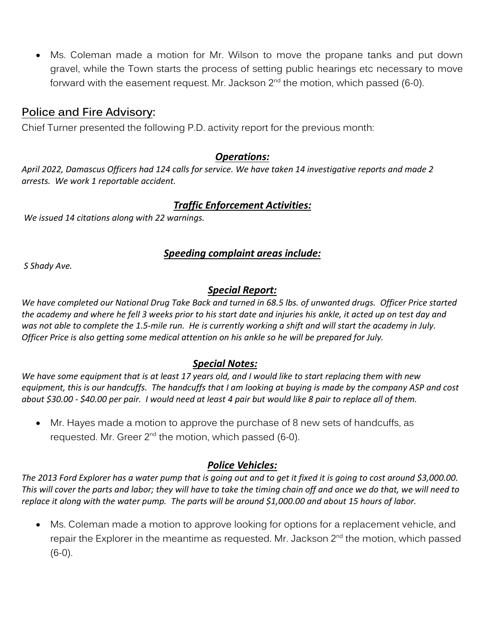• Ms. Coleman made a motion for Mr. Wilson to move the propane tanks and put down gravel, while the Town starts the process of setting public hearings etc necessary to move forward with the easement request. Mr. Jackson 2<sup>nd</sup> the motion, which passed (6-0).

## **Police and Fire Advisory:**

Chief Turner presented the following P.D. activity report for the previous month:

### *Operations:*

*April 2022, Damascus Officers had 124 calls for service. We have taken 14 investigative reports and made 2 arrests. We work 1 reportable accident.*

### *Traffic Enforcement Activities:*

*We issued 14 citations along with 22 warnings.*

### *Speeding complaint areas include:*

*S Shady Ave.*

### *Special Report:*

*We have completed our National Drug Take Back and turned in 68.5 lbs. of unwanted drugs. Officer Price started the academy and where he fell 3 weeks prior to his start date and injuries his ankle, it acted up on test day and was not able to complete the 1.5-mile run. He is currently working a shift and will start the academy in July. Officer Price is also getting some medical attention on his ankle so he will be prepared for July.*

### *Special Notes:*

*We have some equipment that is at least 17 years old, and I would like to start replacing them with new equipment, this is our handcuffs. The handcuffs that I am looking at buying is made by the company ASP and cost about \$30.00 - \$40.00 per pair. I would need at least 4 pair but would like 8 pair to replace all of them.*

• Mr. Hayes made a motion to approve the purchase of 8 new sets of handcuffs, as requested. Mr. Greer 2<sup>nd</sup> the motion, which passed (6-0).

### *Police Vehicles:*

*The 2013 Ford Explorer has a water pump that is going out and to get it fixed it is going to cost around \$3,000.00. This will cover the parts and labor; they will have to take the timing chain off and once we do that, we will need to replace it along with the water pump. The parts will be around \$1,000.00 and about 15 hours of labor.*

• Ms. Coleman made a motion to approve looking for options for a replacement vehicle, and repair the Explorer in the meantime as requested. Mr. Jackson 2<sup>nd</sup> the motion, which passed  $(6-0)$ .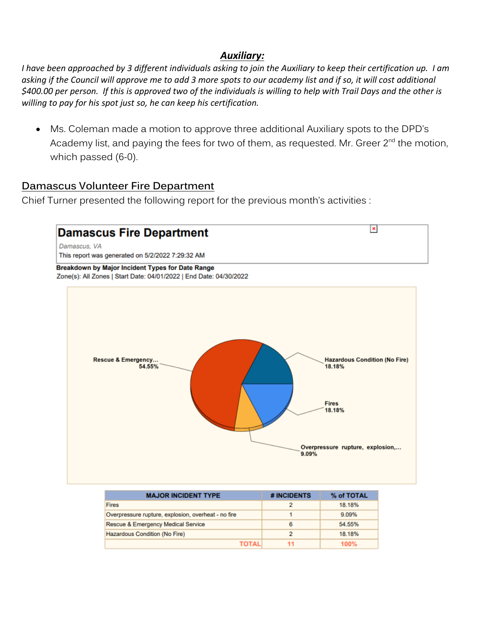### *Auxiliary:*

*I have been approached by 3 different individuals asking to join the Auxiliary to keep their certification up. I am asking if the Council will approve me to add 3 more spots to our academy list and if so, it will cost additional \$400.00 per person. If this is approved two of the individuals is willing to help with Trail Days and the other is willing to pay for his spot just so, he can keep his certification.* 

• Ms. Coleman made a motion to approve three additional Auxiliary spots to the DPD's Academy list, and paying the fees for two of them, as requested. Mr. Greer 2<sup>nd</sup> the motion, which passed (6-0).

### **Damascus Volunteer Fire Department**

Chief Turner presented the following report for the previous month's activities :



| <b>MAJOR INCIDENT TYPE</b>                          | # INCIDENTS | % of TOTAL |
|-----------------------------------------------------|-------------|------------|
| <b>Fires</b>                                        |             | 18.18%     |
| Overpressure rupture, explosion, overheat - no fire |             | 9.09%      |
| Rescue & Emergency Medical Service                  | 6           | 54.55%     |
| Hazardous Condition (No Fire)                       |             | 18.18%     |
| ΤΩΤΑΙ                                               |             | 100%       |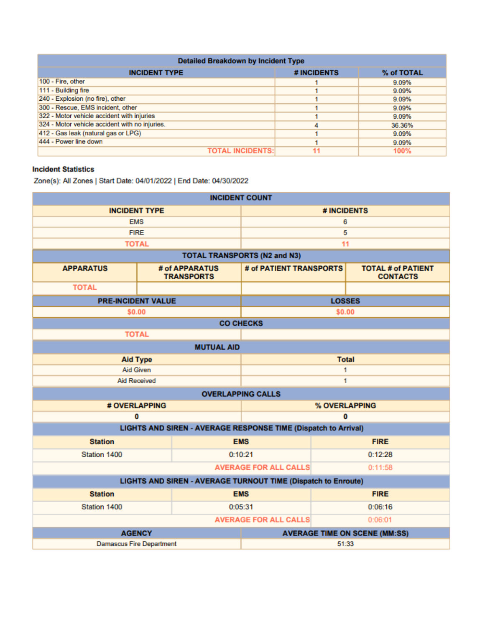| <b>Detailed Breakdown by Incident Type</b>     |             |            |  |
|------------------------------------------------|-------------|------------|--|
| <b>INCIDENT TYPE</b>                           | # INCIDENTS | % of TOTAL |  |
| 100 - Fire, other                              |             | 9.09%      |  |
| 111 - Building fire                            |             | 9.09%      |  |
| 240 - Explosion (no fire), other               |             | 9.09%      |  |
| 300 - Rescue, EMS incident, other              |             | 9.09%      |  |
| 322 - Motor vehicle accident with injuries     |             | 9.09%      |  |
| 324 - Motor vehicle accident with no injuries. |             | 36.36%     |  |
| 412 - Gas leak (natural gas or LPG)            |             | 9.09%      |  |
| 444 - Power line down                          |             | 9.09%      |  |
| <b>TOTAL INCIDENTS:</b>                        |             | 100%       |  |

#### **Incident Statistics**

Zone(s): All Zones | Start Date: 04/01/2022 | End Date: 04/30/2022

| <b>INCIDENT COUNT</b>                                         |                                                                |                                      |                                              |  |
|---------------------------------------------------------------|----------------------------------------------------------------|--------------------------------------|----------------------------------------------|--|
| <b>INCIDENT TYPE</b>                                          |                                                                | # INCIDENTS                          |                                              |  |
| <b>EMS</b>                                                    |                                                                | 6                                    |                                              |  |
| <b>FIRE</b>                                                   |                                                                | 5                                    |                                              |  |
| <b>TOTAL</b>                                                  |                                                                |                                      | 11                                           |  |
|                                                               |                                                                | <b>TOTAL TRANSPORTS (N2 and N3)</b>  |                                              |  |
| <b>APPARATUS</b>                                              | # of APPARATUS<br><b>TRANSPORTS</b>                            | # of PATIENT TRANSPORTS              | <b>TOTAL # of PATIENT</b><br><b>CONTACTS</b> |  |
| <b>TOTAL</b>                                                  |                                                                |                                      |                                              |  |
| <b>PRE-INCIDENT VALUE</b>                                     |                                                                |                                      | <b>LOSSES</b>                                |  |
| \$0.00                                                        |                                                                |                                      | \$0.00                                       |  |
|                                                               |                                                                | <b>CO CHECKS</b>                     |                                              |  |
| <b>TOTAL</b>                                                  |                                                                |                                      |                                              |  |
|                                                               | <b>MUTUAL AID</b>                                              |                                      |                                              |  |
| <b>Aid Type</b>                                               |                                                                | <b>Total</b>                         |                                              |  |
| <b>Aid Given</b>                                              |                                                                | 1                                    |                                              |  |
| <b>Aid Received</b>                                           |                                                                | 1                                    |                                              |  |
|                                                               |                                                                | <b>OVERLAPPING CALLS</b>             |                                              |  |
|                                                               | # OVERLAPPING                                                  |                                      | % OVERLAPPING                                |  |
| 0                                                             |                                                                | O                                    |                                              |  |
|                                                               | LIGHTS AND SIREN - AVERAGE RESPONSE TIME (Dispatch to Arrival) |                                      |                                              |  |
| <b>Station</b>                                                |                                                                | <b>EMS</b>                           | <b>FIRE</b>                                  |  |
| Station 1400                                                  |                                                                | 0:10:21                              | 0:12:28                                      |  |
| <b>AVERAGE FOR ALL CALLS</b>                                  |                                                                |                                      | 0:11:58                                      |  |
| LIGHTS AND SIREN - AVERAGE TURNOUT TIME (Dispatch to Enroute) |                                                                |                                      |                                              |  |
| <b>Station</b>                                                |                                                                | <b>EMS</b>                           | <b>FIRE</b>                                  |  |
| Station 1400                                                  |                                                                | 0:05:31                              | 0:06:16                                      |  |
| <b>AVERAGE FOR ALL CALLS</b><br>0:06:01                       |                                                                |                                      |                                              |  |
| <b>AGENCY</b>                                                 |                                                                | <b>AVERAGE TIME ON SCENE (MM:SS)</b> |                                              |  |
| <b>Damascus Fire Department</b>                               |                                                                | 51:33                                |                                              |  |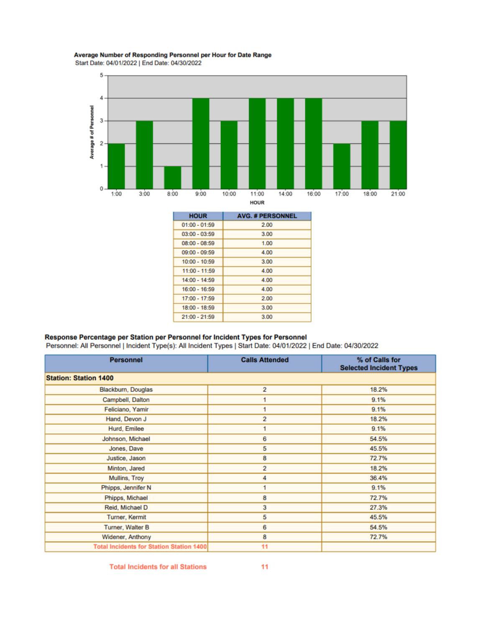#### Average Number of Responding Personnel per Hour for Date Range

Start Date: 04/01/2022 | End Date: 04/30/2022



| <b>HOUR</b>     | <b>AVG. # PERSONNEL</b> |
|-----------------|-------------------------|
| $01:00 - 01:59$ | 2.00                    |
| $03:00 - 03:59$ | 3.00                    |
| $08:00 - 08:59$ | 1.00                    |
| $09:00 - 09:59$ | 4.00                    |
| $10:00 - 10:59$ | 3.00                    |
| $11:00 - 11:59$ | 4.00                    |
| $14:00 - 14:59$ | 4.00                    |
| $16:00 - 16:59$ | 4.00                    |
| $17:00 - 17:59$ | 2.00                    |
| $18:00 - 18:59$ | 3.00                    |
| $21:00 - 21:59$ | 3.00                    |

#### Response Percentage per Station per Personnel for Incident Types for Personnel

Personnel: All Personnel | Incident Type(s): All Incident Types | Start Date: 04/01/2022 | End Date: 04/30/2022

| <b>Personnel</b>                                | <b>Calls Attended</b> | % of Calls for<br><b>Selected Incident Types</b> |  |
|-------------------------------------------------|-----------------------|--------------------------------------------------|--|
| <b>Station: Station 1400</b>                    |                       |                                                  |  |
| Blackburn, Douglas                              | 2                     | 18.2%                                            |  |
| Campbell, Dalton                                |                       | 9.1%                                             |  |
| Feliciano, Yamir                                | 1                     | 9.1%                                             |  |
| Hand, Devon J                                   | 2                     | 18.2%                                            |  |
| Hurd, Emilee                                    | 1                     | 9.1%                                             |  |
| Johnson, Michael                                | 6                     | 54.5%                                            |  |
| Jones, Dave                                     | 5                     | 45.5%                                            |  |
| Justice, Jason                                  | 8                     | 72.7%                                            |  |
| Minton, Jared                                   | 2                     | 18.2%                                            |  |
| Mullins, Troy                                   | 4                     | 36.4%                                            |  |
| Phipps, Jennifer N                              | 1                     | 9.1%                                             |  |
| Phipps, Michael                                 | 8                     | 72.7%                                            |  |
| Reid, Michael D                                 | 3                     | 27.3%                                            |  |
| Turner, Kermit                                  | 5                     | 45.5%                                            |  |
| Turner, Walter B                                | 6                     | 54.5%                                            |  |
| Widener, Anthony                                | 8                     | 72.7%                                            |  |
| <b>Total Incidents for Station Station 1400</b> | 11                    |                                                  |  |

**Total Incidents for all Stations**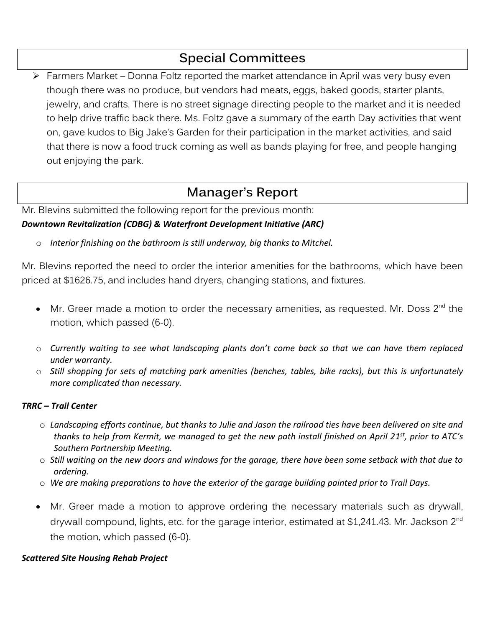# **Special Committees**

➢ Farmers Market – Donna Foltz reported the market attendance in April was very busy even though there was no produce, but vendors had meats, eggs, baked goods, starter plants, jewelry, and crafts. There is no street signage directing people to the market and it is needed to help drive traffic back there. Ms. Foltz gave a summary of the earth Day activities that went on, gave kudos to Big Jake's Garden for their participation in the market activities, and said that there is now a food truck coming as well as bands playing for free, and people hanging out enjoying the park.

# **Manager's Report**

Mr. Blevins submitted the following report for the previous month: *Downtown Revitalization (CDBG) & Waterfront Development Initiative (ARC)* 

o *Interior finishing on the bathroom is still underway, big thanks to Mitchel.*

Mr. Blevins reported the need to order the interior amenities for the bathrooms, which have been priced at \$1626.75, and includes hand dryers, changing stations, and fixtures.

- Mr. Greer made a motion to order the necessary amenities, as requested. Mr. Doss  $2^{nd}$  the motion, which passed (6-0).
- o *Currently waiting to see what landscaping plants don't come back so that we can have them replaced under warranty.*
- o *Still shopping for sets of matching park amenities (benches, tables, bike racks), but this is unfortunately more complicated than necessary.*

#### *TRRC – Trail Center*

- o *Landscaping efforts continue, but thanks to Julie and Jason the railroad ties have been delivered on site and thanks to help from Kermit, we managed to get the new path install finished on April 21 st, prior to ATC's Southern Partnership Meeting.*
- o *Still waiting on the new doors and windows for the garage, there have been some setback with that due to ordering.*
- o *We are making preparations to have the exterior of the garage building painted prior to Trail Days.*
- Mr. Greer made a motion to approve ordering the necessary materials such as drywall, drywall compound, lights, etc. for the garage interior, estimated at \$1,241.43. Mr. Jackson 2<sup>nd</sup> the motion, which passed (6-0).

#### *Scattered Site Housing Rehab Project*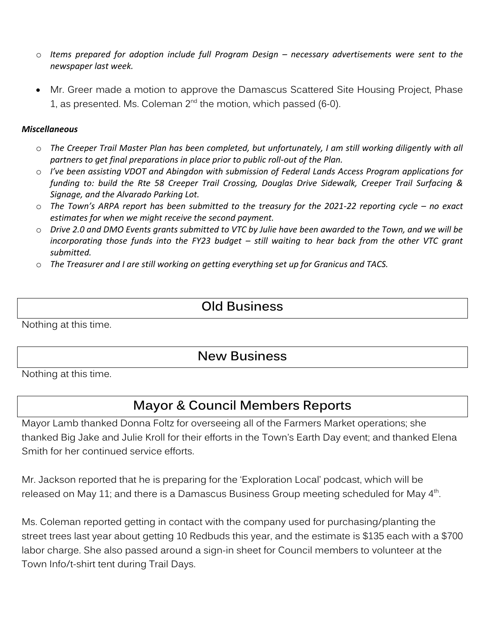- o *Items prepared for adoption include full Program Design – necessary advertisements were sent to the newspaper last week.*
- Mr. Greer made a motion to approve the Damascus Scattered Site Housing Project, Phase 1, as presented. Ms. Coleman 2 $^{\mathsf{nd}}$  the motion, which passed (6-0).

#### *Miscellaneous*

- o *The Creeper Trail Master Plan has been completed, but unfortunately, I am still working diligently with all partners to get final preparations in place prior to public roll-out of the Plan.*
- o *I've been assisting VDOT and Abingdon with submission of Federal Lands Access Program applications for funding to: build the Rte 58 Creeper Trail Crossing, Douglas Drive Sidewalk, Creeper Trail Surfacing & Signage, and the Alvarado Parking Lot.*
- o *The Town's ARPA report has been submitted to the treasury for the 2021-22 reporting cycle – no exact estimates for when we might receive the second payment.*
- o *Drive 2.0 and DMO Events grants submitted to VTC by Julie have been awarded to the Town, and we will be incorporating those funds into the FY23 budget - still waiting to hear back from the other VTC grant submitted.*
- o *The Treasurer and I are still working on getting everything set up for Granicus and TACS.*

## **Old Business**

Nothing at this time.

## **New Business**

Nothing at this time.

## **Mayor & Council Members Reports**

Mayor Lamb thanked Donna Foltz for overseeing all of the Farmers Market operations; she thanked Big Jake and Julie Kroll for their efforts in the Town's Earth Day event; and thanked Elena Smith for her continued service efforts.

Mr. Jackson reported that he is preparing for the 'Exploration Local' podcast, which will be released on May 11; and there is a Damascus Business Group meeting scheduled for May 4 $^{\rm th}$ .

Ms. Coleman reported getting in contact with the company used for purchasing/planting the street trees last year about getting 10 Redbuds this year, and the estimate is \$135 each with a \$700 labor charge. She also passed around a sign-in sheet for Council members to volunteer at the Town Info/t-shirt tent during Trail Days.